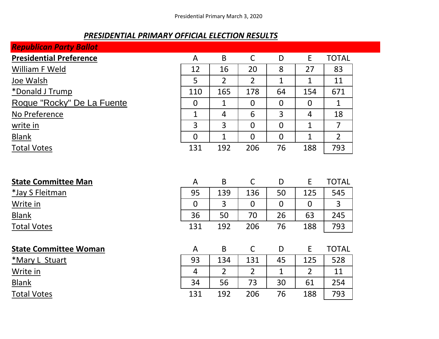## *PRESIDENTIAL PRIMARY OFFICIAL ELECTION RESULTS*

| <b>Republican Party Ballot</b> |                |                |                |                  |                |                |
|--------------------------------|----------------|----------------|----------------|------------------|----------------|----------------|
| <b>Presidential Preference</b> | $\mathsf{A}$   | B              | $\mathsf{C}$   | D                | E              | <b>TOTAL</b>   |
| William F Weld                 | 12             | 16             | 20             | 8                | 27             | 83             |
| Joe Walsh                      | 5              | $\overline{2}$ | $\overline{2}$ | $\mathbf{1}$     | $\mathbf 1$    | 11             |
| *Donald J Trump                | 110            | 165            | 178            | 64               | 154            | 671            |
| Roque "Rocky" De La Fuente     | $\mathbf 0$    | $\mathbf 1$    | $\mathbf 0$    | $\boldsymbol{0}$ | $\mathbf 0$    | $\mathbf{1}$   |
| No Preference                  | $\mathbf{1}$   | $\overline{4}$ | 6              | 3                | $\overline{4}$ | 18             |
| write in                       | $\overline{3}$ | 3              | $\mathbf 0$    | $\overline{0}$   | $\mathbf{1}$   | $\overline{7}$ |
| <b>Blank</b>                   | $\Omega$       | $\mathbf{1}$   | $\overline{0}$ | $\overline{0}$   | $\mathbf{1}$   | $\overline{2}$ |
| <b>Total Votes</b>             | 131            | 192            | 206            | 76               | 188            | 793            |
| <b>State Committee Man</b>     | A              | B              | $\mathsf{C}$   | D                | E              | <b>TOTAL</b>   |
| *Jay S Fleitman                | 95             | 139            | 136            | 50               | 125            | 545            |
| Write in                       | $\mathbf 0$    | $\overline{3}$ | $\mathbf 0$    | $\mathbf 0$      | $\mathbf 0$    | $\overline{3}$ |
| <b>Blank</b>                   | 36             | 50             | 70             | 26               | 63             | 245            |
| <b>Total Votes</b>             | 131            | 192            | 206            | 76               | 188            | 793            |
|                                |                |                |                |                  |                |                |
| <b>State Committee Woman</b>   | $\mathsf{A}$   | B              | $\mathsf{C}$   | D                | E              | <b>TOTAL</b>   |
| *Mary L Stuart                 | 93             | 134            | 131            | 45               | 125            | 528            |
| Write in                       | $\overline{4}$ | $\overline{2}$ | $\overline{2}$ | $\mathbf{1}$     | $\overline{2}$ | 11             |
| <b>Blank</b>                   | 34             | 56             | 73             | 30               | 61             | 254            |
| <b>Total Votes</b>             | 131            | 192            | 206            | 76               | 188            | 793            |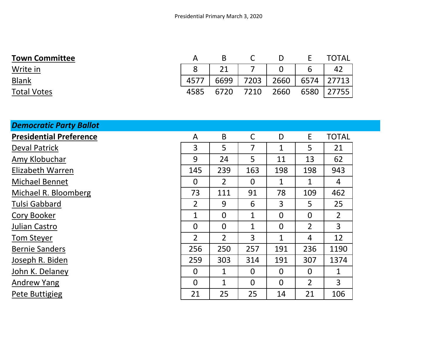| <b>Town Committee</b> |      |      |      |      |      | TOTAL |
|-----------------------|------|------|------|------|------|-------|
| Write in              |      |      |      |      | 6    | 42    |
| <b>Blank</b>          |      | 6699 | 7203 | 2660 | 6574 | 27713 |
| <b>Total Votes</b>    | 4585 | 6720 | 7210 | 2660 | 6580 | 27755 |

| <b>Democratic Party Ballot</b> |                |                |                |              |                |                |
|--------------------------------|----------------|----------------|----------------|--------------|----------------|----------------|
| <b>Presidential Preference</b> | A              | B              | $\mathsf C$    | D            | E              | <b>TOTAL</b>   |
| <b>Deval Patrick</b>           | 3              | 5              | 7              | $\mathbf 1$  | 5              | 21             |
| Amy Klobuchar                  | 9              | 24             | 5              | 11           | 13             | 62             |
| <b>Elizabeth Warren</b>        | 145            | 239            | 163            | 198          | 198            | 943            |
| <b>Michael Bennet</b>          | $\overline{0}$ | $\overline{2}$ | $\overline{0}$ | $\mathbf 1$  | 1              | 4              |
| Michael R. Bloomberg           | 73             | 111            | 91             | 78           | 109            | 462            |
| <b>Tulsi Gabbard</b>           | $\overline{2}$ | 9              | 6              | 3            | 5              | 25             |
| Cory Booker                    | $\mathbf{1}$   | $\overline{0}$ | $\mathbf{1}$   | $\mathbf 0$  | $\Omega$       | $\overline{2}$ |
| Julian Castro                  | $\overline{0}$ | $\overline{0}$ | $\mathbf{1}$   | $\Omega$     | $\overline{2}$ | $\overline{3}$ |
| <b>Tom Steyer</b>              | $\overline{2}$ | $\overline{2}$ | 3              | $\mathbf{1}$ | $\overline{4}$ | 12             |
| <b>Bernie Sanders</b>          | 256            | 250            | 257            | 191          | 236            | 1190           |
| Joseph R. Biden                | 259            | 303            | 314            | 191          | 307            | 1374           |
| John K. Delaney                | $\mathbf 0$    | $\mathbf{1}$   | $\overline{0}$ | $\mathbf 0$  | $\Omega$       | $\mathbf 1$    |
| <b>Andrew Yang</b>             | $\overline{0}$ | $\mathbf{1}$   | $\overline{0}$ | $\Omega$     | $\overline{2}$ | $\overline{3}$ |
| Pete Buttigieg                 | 21             | 25             | 25             | 14           | 21             | 106            |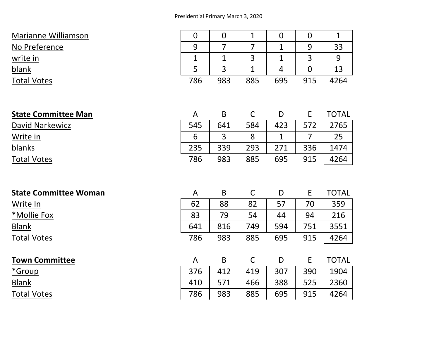## Presidential Primary March 3, 2020

| <b>Marianne Williamson</b>   | $\mathbf 0$    | $\mathbf 0$    | $\mathbf{1}$   | $\overline{0}$ | $\mathbf 0$    | $\mathbf{1}$ |
|------------------------------|----------------|----------------|----------------|----------------|----------------|--------------|
| No Preference                | 9              | $\overline{7}$ | $\overline{7}$ | $\mathbf{1}$   | 9              | 33           |
| write in                     | $\mathbf{1}$   | $\mathbf{1}$   | 3              | $\mathbf{1}$   | 3              | 9            |
| <b>blank</b>                 | 5              | 3              | $\mathbf{1}$   | $\overline{4}$ | $\mathbf 0$    | 13           |
| <b>Total Votes</b>           | 786            | 983            | 885            | 695            | 915            | 4264         |
|                              |                |                |                |                |                |              |
| <b>State Committee Man</b>   | A              | B              | $\mathsf{C}$   | D              | E              | <b>TOTAL</b> |
| David Narkewicz              | 545            | 641            | 584            | 423            | 572            | 2765         |
| Write in                     | 6              | $\overline{3}$ | 8              | $\mathbf{1}$   | $\overline{7}$ | 25           |
| <b>blanks</b>                | 235            | 339            | 293            | 271            | 336            | 1474         |
| <b>Total Votes</b>           | 786            | 983            | 885            | 695            | 915            | 4264         |
|                              |                |                |                |                |                |              |
| <b>State Committee Woman</b> | $\mathsf{A}$   | B              | $\mathsf{C}$   | D              | E              | <b>TOTAL</b> |
| Write In                     | 62             | 88             | 82             | 57             | 70             | 359          |
| *Mollie Fox                  | 83             | 79             | 54             | 44             | 94             | 216          |
| <b>Blank</b>                 | 641            | 816            | 749            | 594            | 751            | 3551         |
| <b>Total Votes</b>           | 786            | 983            | 885            | 695            | 915            | 4264         |
|                              |                |                |                |                |                |              |
| <b>Town Committee</b>        | $\overline{A}$ | B              | $\mathsf C$    | D              | E              | <b>TOTAL</b> |
| *Group                       | 376            | 412            | 419            | 307            | 390            | 1904         |
| <b>Blank</b>                 | 410            | 571            | 466            | 388            | 525            | 2360         |
| <b>Total Votes</b>           | 786            | 983            | 885            | 695            | 915            | 4264         |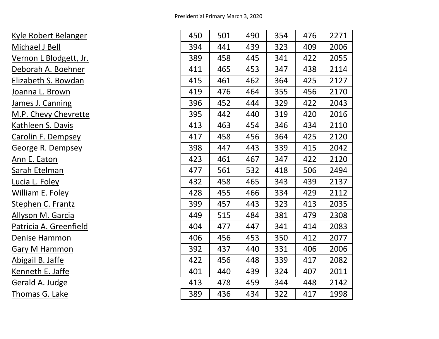| Kyle Robert Belanger      | 450 | 501 | 490 | 354 | 476 | 2271 |
|---------------------------|-----|-----|-----|-----|-----|------|
| Michael J Bell            | 394 | 441 | 439 | 323 | 409 | 2006 |
| Vernon L Blodgett, Jr.    | 389 | 458 | 445 | 341 | 422 | 2055 |
| Deborah A. Boehner        | 411 | 465 | 453 | 347 | 438 | 2114 |
| Elizabeth S. Bowdan       | 415 | 461 | 462 | 364 | 425 | 2127 |
| Joanna L. Brown           | 419 | 476 | 464 | 355 | 456 | 2170 |
| James J. Canning          | 396 | 452 | 444 | 329 | 422 | 2043 |
| M.P. Chevy Chevrette      | 395 | 442 | 440 | 319 | 420 | 2016 |
| Kathleen S. Davis         | 413 | 463 | 454 | 346 | 434 | 2110 |
| <b>Carolin F. Dempsey</b> | 417 | 458 | 456 | 364 | 425 | 2120 |
| George R. Dempsey         | 398 | 447 | 443 | 339 | 415 | 2042 |
| Ann E. Eaton              | 423 | 461 | 467 | 347 | 422 | 2120 |
| <u>Sarah Etelman</u>      | 477 | 561 | 532 | 418 | 506 | 2494 |
| Lucia L. Foley            | 432 | 458 | 465 | 343 | 439 | 2137 |
| William E. Foley          | 428 | 455 | 466 | 334 | 429 | 2112 |
| Stephen C. Frantz         | 399 | 457 | 443 | 323 | 413 | 2035 |
| Allyson M. Garcia         | 449 | 515 | 484 | 381 | 479 | 2308 |
| Patricia A. Greenfield    | 404 | 477 | 447 | 341 | 414 | 2083 |
| Denise Hammon             | 406 | 456 | 453 | 350 | 412 | 2077 |
| <b>Gary M Hammon</b>      | 392 | 437 | 440 | 331 | 406 | 2006 |
| Abigail B. Jaffe          | 422 | 456 | 448 | 339 | 417 | 2082 |
| Kenneth E. Jaffe          | 401 | 440 | 439 | 324 | 407 | 2011 |
| Gerald A. Judge           | 413 | 478 | 459 | 344 | 448 | 2142 |
| Thomas G. Lake            | 389 | 436 | 434 | 322 | 417 | 1998 |
|                           |     |     |     |     |     |      |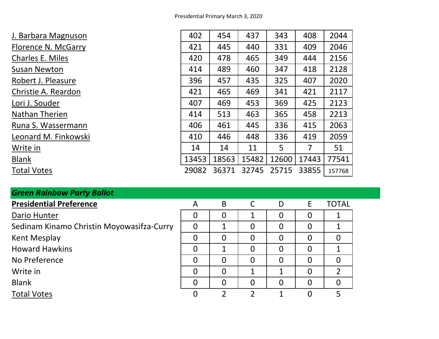| J. Barbara Magnuson     | 402   | 454   | 437   | 343   | 408   | 2044   |
|-------------------------|-------|-------|-------|-------|-------|--------|
| Florence N. McGarry     | 421   | 445   | 440   | 331   | 409   | 2046   |
| <b>Charles E. Miles</b> | 420   | 478   | 465   | 349   | 444   | 2156   |
| <b>Susan Newton</b>     | 414   | 489   | 460   | 347   | 418   | 2128   |
| Robert J. Pleasure      | 396   | 457   | 435   | 325   | 407   | 2020   |
| Christie A. Reardon     | 421   | 465   | 469   | 341   | 421   | 2117   |
| Lori J. Souder          | 407   | 469   | 453   | 369   | 425   | 2123   |
| <b>Nathan Therien</b>   | 414   | 513   | 463   | 365   | 458   | 2213   |
| Runa S. Wassermann      | 406   | 461   | 445   | 336   | 415   | 2063   |
| Leonard M. Finkowski    | 410   | 446   | 448   | 336   | 419   | 2059   |
| Write in                | 14    | 14    | 11    | 5     | 7     | 51     |
| <b>Blank</b>            | 13453 | 18563 | 15482 | 12600 | 17443 | 77541  |
| <b>Total Votes</b>      | 29082 | 36371 | 32745 | 25715 | 33855 | 157768 |

| <b>Green Rainbow Party Ballot</b>         |          |                |                |                |                |                |  |  |  |
|-------------------------------------------|----------|----------------|----------------|----------------|----------------|----------------|--|--|--|
| <b>Presidential Preference</b>            | A        | B              |                | D              | Ε              | <b>TOTAL</b>   |  |  |  |
| Dario Hunter                              | 0        | 0              |                | $\overline{0}$ | 0              |                |  |  |  |
| Sedinam Kinamo Christin Moyowasifza-Curry | $\Omega$ | 1              | $\overline{0}$ | $\overline{0}$ | $\overline{0}$ |                |  |  |  |
| <b>Kent Mesplay</b>                       | 0        | 0              | $\overline{0}$ | $\overline{0}$ |                |                |  |  |  |
| <b>Howard Hawkins</b>                     | 0        | 1              | $\overline{0}$ | $\overline{0}$ | $\overline{0}$ |                |  |  |  |
| No Preference                             | $\Omega$ | 0              | $\overline{0}$ | $\overline{0}$ | $\Omega$       | $\Omega$       |  |  |  |
| Write in                                  | $\Omega$ | $\overline{0}$ |                |                | $\Omega$       | $\overline{2}$ |  |  |  |
| <b>Blank</b>                              | $\Omega$ | 0              | $\overline{0}$ | $\Omega$       | $\Omega$       | 0              |  |  |  |
| <b>Total Votes</b>                        |          |                |                |                |                |                |  |  |  |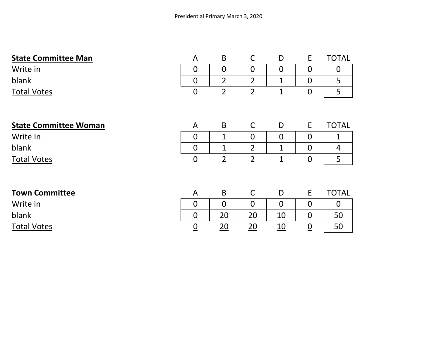| <b>State Committee Man</b>   | A                | B              | $\mathsf{C}$   | D              | E               | <b>TOTAL</b>   |
|------------------------------|------------------|----------------|----------------|----------------|-----------------|----------------|
| Write in                     | $\overline{0}$   | $\overline{0}$ | $\overline{0}$ | $\overline{0}$ | $\Omega$        | $\overline{0}$ |
| blank                        | $\boldsymbol{0}$ | $\overline{2}$ | $\overline{2}$ | $\mathbf 1$    | $\overline{0}$  | 5              |
| <b>Total Votes</b>           | $\overline{0}$   | $\overline{2}$ | $\overline{2}$ | $\mathbf{1}$   | $\overline{0}$  | 5              |
|                              |                  |                |                |                |                 |                |
|                              |                  |                |                |                |                 |                |
| <b>State Committee Woman</b> | A                | B              | $\mathsf{C}$   | D              | E               | <b>TOTAL</b>   |
| Write In                     | $\mathbf 0$      | 1              | $\overline{0}$ | $\overline{0}$ | $\overline{0}$  | $\mathbf 1$    |
| blank                        | $\mathbf 0$      | 1              | $\overline{2}$ | 1              | $\overline{0}$  | 4              |
| <b>Total Votes</b>           | $\mathbf 0$      | $\overline{2}$ | $\overline{2}$ | $\mathbf{1}$   | $\mathbf 0$     | 5              |
|                              |                  |                |                |                |                 |                |
|                              |                  |                |                |                |                 |                |
| <b>Town Committee</b>        | A                | B              | $\mathsf{C}$   | D              | E               | <b>TOTAL</b>   |
| Write in                     | $\mathbf 0$      | $\overline{0}$ | $\Omega$       | $\Omega$       | $\Omega$        | $\overline{0}$ |
| blank                        | $\mathbf 0$      | 20             | 20             | 10             | $\overline{0}$  | 50             |
| <b>Total Votes</b>           | $\underline{0}$  | 20             | 20             | <u>10</u>      | $\underline{0}$ | 50             |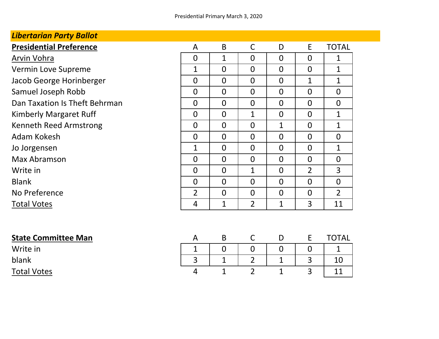| <b>Libertarian Party Ballot</b> |                |                |                |                |                |                |
|---------------------------------|----------------|----------------|----------------|----------------|----------------|----------------|
| <b>Presidential Preference</b>  | A              | B              | $\mathsf C$    | D              | E              | <b>TOTAL</b>   |
| Arvin Vohra                     | $\overline{0}$ | 1              | $\overline{0}$ | $\mathbf 0$    | $\overline{0}$ | 1              |
| Vermin Love Supreme             | $\mathbf 1$    | $\overline{0}$ | $\overline{0}$ | $\mathbf 0$    | $\overline{0}$ | $\mathbf{1}$   |
| Jacob George Horinberger        | $\overline{0}$ | $\overline{0}$ | $\overline{0}$ | $\overline{0}$ | $\mathbf{1}$   | $\mathbf{1}$   |
| Samuel Joseph Robb              | $\overline{0}$ | $\overline{0}$ | $\mathbf 0$    | $\overline{0}$ | $\overline{0}$ | $\overline{0}$ |
| Dan Taxation Is Theft Behrman   | $\overline{0}$ | $\overline{0}$ | $\overline{0}$ | $\mathbf 0$    | $\overline{0}$ | $\mathbf 0$    |
| <b>Kimberly Margaret Ruff</b>   | $\overline{0}$ | $\mathbf 0$    | $\mathbf{1}$   | $\mathbf 0$    | $\overline{0}$ | $\mathbf{1}$   |
| <b>Kenneth Reed Armstrong</b>   | $\overline{0}$ | $\overline{0}$ | $\overline{0}$ | $\mathbf{1}$   | $\Omega$       | $\mathbf{1}$   |
| Adam Kokesh                     | $\overline{0}$ | $\overline{0}$ | $\overline{0}$ | $\Omega$       | $\Omega$       | $\Omega$       |
| Jo Jorgensen                    | $\mathbf{1}$   | $\mathbf 0$    | $\overline{0}$ | $\mathbf 0$    | $\overline{0}$ | $\mathbf{1}$   |
| Max Abramson                    | $\overline{0}$ | $\overline{0}$ | $\overline{0}$ | $\mathbf 0$    | $\overline{0}$ | $\mathbf 0$    |
| Write in                        | $\overline{0}$ | $\mathbf 0$    | 1              | $\mathbf 0$    | $\overline{2}$ | 3              |
| <b>Blank</b>                    | $\overline{0}$ | $\overline{0}$ | $\overline{0}$ | $\mathbf 0$    | $\overline{0}$ | $\overline{0}$ |
| No Preference                   | $\overline{2}$ | $\overline{0}$ | $\mathbf 0$    | $\mathbf 0$    | $\mathbf 0$    | $\overline{2}$ |
| <b>Total Votes</b>              | 4              | $\mathbf 1$    | $\overline{2}$ | 1              | 3              | 11             |
|                                 |                |                |                |                |                |                |
| <b>State Committee Man</b>      | A              | B              | $\mathsf{C}$   | D              | E              | <b>TOTAL</b>   |
| Write in                        | $\mathbf{1}$   | $\mathbf 0$    | $\mathbf 0$    | $\mathbf 0$    | $\mathbf 0$    | 1              |
|                                 |                |                |                |                |                |                |

blank 1 2 1 3 10

Total Votes 4 1 2 1 3 11